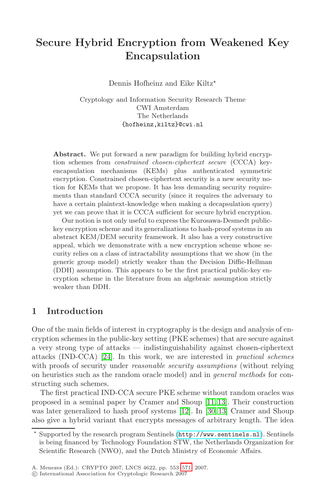# **Secure Hybrid Encryption from Weakened Key Encapsulation**

Dennis Hofheinz and Eike Kiltz

Cryptology and Information Security Research Theme CWI Amsterdam The Netherlands {hofheinz,kiltz}@cwi.nl

**Abstract.** We put forward a new paradigm for building hybrid encryption schemes from constrained chosen-ciphertext secure (CCCA) keyencapsulation mechanisms (KEMs) plus authenticated symmetric encryption. Constrained chosen-ciphertext security is a new security notion for KEMs that we propose. It has less demanding security requirements than standard CCCA security (since it requires the adversary to have a certain plaintext-knowledge when making a decapsulation query) yet we can prove that it is CCCA sufficient for secure hybrid encryption.

Our notion is not only useful to express the Kurosawa-Desmedt publickey encryption scheme and its generalizations to hash-proof systems in an abstract KEM/DEM security framework. It also has a very constructive appeal, which we demonstrate with a new encryption scheme whose security relies on a class of intractability assumptions that we show (in the generic group model) strictly weaker than the Decision Diffie-Hellman (DDH) assumption. This appears to be the first practical public-key encryption scheme in the literature from an algebraic assumption strictly weaker than DDH.

# **1 Introduction**

One of the main fields of interest i[n cr](#page-18-0)[ypt](#page-18-1)ography is the design and analysis of encryption schemes in the pu[blic](#page-18-2)-key [set](#page-18-3)[ting](#page-18-1) (PKE schemes) that are secure against a very strong type of attacks — indistinguishability against chosen-ciphertext attacks (IND-CCA) [24]. In this work, we are interested in practical schemes with proofs of security under *[reasonable security a](http://www.sentinels.nl)ssumptions* (without relying on heuristics such as the random oracle model) and in general methods for constructing such schemes.

The first practical IND-[CCA](#page-18-4) secure PKE scheme without random oracles was proposed in a seminal paper by Cramer and Shoup [11,13]. Their construction was later generalized to hash proof systems [12]. In [30,13] Cramer and Shoup also give a hybrid variant that encrypts messages of arbitrary length. The idea

Supported by the research program Sentinels (http://www.sentinels.nl). Sentinels is being financed by Technology Foundation STW, the Netherlands Organization for Scientific Research (NWO), and the Dutch Ministry of Economic Affairs.

A. Menezes (Ed.): CRYPTO 2007, LNCS 4622, pp. 553–571, 2007.

c International Association for Cryptologic Research 2007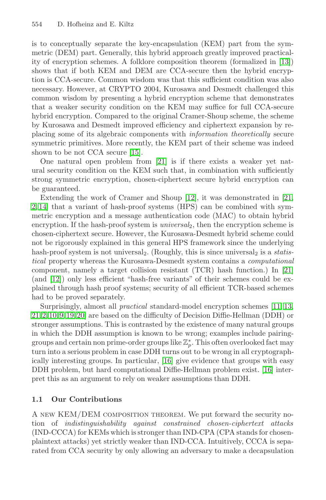is to conceptually separate the key-encapsulation (KEM) part from the symmetric (DEM) part. Generally, this hybrid approach greatly improved practicality of encryption schemes. A folklore composition theorem (formalized in [13]) shows that if both KEM and DEM are CCA-secure then the hybrid encryption is CC[A-se](#page-18-5)cure. Common wisdom was that this sufficient condition was also necessary. Howeve[r, at](#page-18-6) CRYPTO 2004, Kurosawa and Desmedt challenged this common wisdom by presenting a hybrid encryption scheme that demonstrates that a weaker security condition on the KEM may suffice for full CCA-secure hybrid encryption. Compared to the original Cramer-Shoup scheme, the scheme by Kurosawa and Desmedt [imp](#page-18-2)roved efficiency and ciphe[rtex](#page-18-6)t expansion by replacing some of its algebraic components with information theoretically secure symmetric primitives. More recently, the KEM part of their scheme was indeed shown to be not CCA secure [15].

One natural open problem from [21] is if there exists a weaker yet natural security condition on the KEM such that, in combination with sufficiently strong symmetric encryption, chosen-ciphertext secure hybrid encryption can be guaranteed.

Extending the work of Cramer and Shoup [12], it wa[s de](#page-18-6)monstrated in [21, 2, 14] that a variant of hash-proof systems (HPS) can be combined with symmetric encryption and a message authentication code (MAC) to obtain hybrid encryption. If the hash-proof system is  $universal_2$ , then the encryption scheme is chosen-ciphertext secure. However, the Kurosawa-Des[me](#page-18-0)[dt h](#page-18-1)ybrid scheme could not be rigorously explained in this general HPS framework since the underlying hash-proof system is not universal<sub>2</sub>. (Roughly, this is since universal<sub>2</sub> is a *statis*tical property whereas the Kurosawa-Desmedt system contains a computational component, namely a target collision resistant (TCR) hash function.) In [21] (and [12]) only less efficient "hash-free variants" of their schemes could be explained through has[h pr](#page-18-7)oof systems; security of all efficient TCR-based schemes had to be proved separately.

Surprisingly, almost all practical standard-mode[l](#page-18-7) [en](#page-18-7)cryption schemes [11, 13, 21,2,10,9,19,20] are based on the difficulty of Decision Diffie-Hellman (DDH) or stronger assumptions. This is contrasted by the existence of many natural groups in which the DDH assumption is known to be wrong; examples include pairinggroups and certain non prime-order groups like  $\mathbb{Z}_p^*$ . This often overlooked fact may turn into a serious problem in case DDH turns out to be wrong in all cryptographically interesting groups. In particular, [16] give evidence that groups with easy DDH problem, but hard computational Diffie-Hellman problem exist. [16] interpret this as an argument to rely on weaker assumptions than DDH.

# **1.1 Our Contributions**

A new KEM/DEM composition theorem. We put forward the security notion of indistinguishability against constrained chosen-ciphertext attacks (IND-CCCA) for KEMs which is stronger than IND-CPA (CPA stands for chosenplaintext attacks) yet strictly weaker than IND-CCA. Intuitively, CCCA is separated from CCA security by only allowing an adversary to make a decapsulation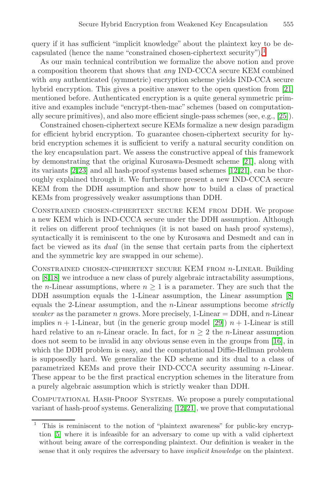query if it has sufficient "implicit knowledge" about the [pla](#page-18-8)intext key to be decapsulated (hence the name "constrained chosen-ciphertext security").<sup>1</sup>

As our main technical contribution we formalize the above notion and prove a composition theorem that shows that any IND-CCCA secure KEM combined with *any* authenticated (symmetric) encryption scheme yields IND-CCA secure hybrid encryption. This gives a positive ans[wer](#page-18-6) to the open question from [21] mentioned before. Authenticated encryp[tion](#page-18-2) [is](#page-18-6) a quite general symmetric primitive and examples include "encrypt-then-mac" schemes (based on computationally secure primitives), and also more efficient single-pass schemes (see, e.g., [25]).

Constrained chosen-ciphertext secure KEMs formalize a new design paradigm for efficient hybrid encryption. To guarantee chosen-ciphertext security for hybrid encryption schemes it is sufficient to verify a natural security condition on the key encapsulation part. We assess the constructive appeal of this framework by demonstrating that the original Kurosawa-Desmedt scheme [21], along with its variants [2,23] and all hash-proof systems based schemes [12,21], can be thoroughly explained through it. We furthermore present a new IND-CCCA secure KEM from the DDH assumption and show how to build a class of practical KEMs from progressively weaker assumptions than DDH.

Constrained chosen-ciphertext secure KEM from DDH. We propose a new KEM which is IND-CCCA secure under the DDH assumption. Although it relies on different proof techniques (it is not based on [ha](#page-17-0)sh proof systems), syntactically it is reminiscent to the one by Kurosawa and Desmedt and can in fact be viewed as its dual (in the sense that certain parts from the ciphertext and the symmetric key are swapped [in](#page-18-9) our scheme).

Constrained chosen-ciphertext secure KEM [fro](#page-18-7)m n-Linear. Building on [8,18] we introduce a new class of purely algebraic intractability assumptions, the *n*-Linear assumptions, where  $n \geq 1$  is a parameter. They are such that the DDH assumption equals the 1-Linear assumption, the Linear assumption [8] equals the 2-Linear assumption, and the  $n$ -Linear assumptions become *strictly* weaker as the parameter n grows. More precisely, 1-Linear  $=$  DDH, and n-Linear implies  $n + 1$ -Linear, but (in the generic group model [29])  $n + 1$ -Linear is still hard relative to an *n*-Linear oracle. In fact, for  $n \geq 2$  the *n*-Linear assumption does not seem to be inva[lid](#page-18-2) [in](#page-18-6) [a](#page-18-6)ny obvious sense even in the groups from [16], in which the DDH problem is easy, and the computational Diffie-Hellman problem is supposedly hard. We generalize the KD scheme and its dual to a class of parametrized KEMs and prove their IND-CCCA security assuming n-Linear. These appear to be the first practical encryption schemes in the literature from a purely algebraic assumption which is strictly weaker than DDH.

Computational Hash-Proof Systems. We propose a purely computational variant of hash-proof systems. Generalizing [12,21], we prove that computational

<sup>&</sup>lt;sup>1</sup> This is reminiscent to the notion of "plaintext awareness" for public-key encryption [5] where it is infeasible for an adversary to come up with a valid ciphertext without being aware of the corresponding plaintext. Our definition is weaker in the sense that it only requires the adversary to have implicit knowledge on the plaintext.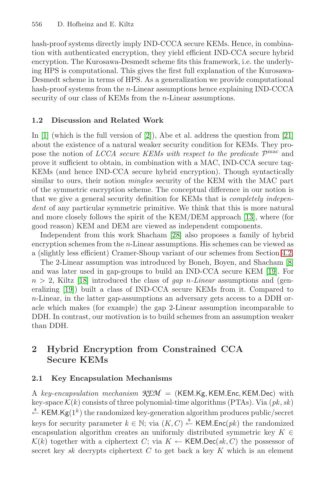hash-proof systems directly imply IND-CCCA secure KEMs. Hence, in combination with authenticated encryption, they yield efficient IND-CCA secure hybrid encryption. Th[e K](#page-17-1)urosawa-Desmedt scheme fits this fram[ewo](#page-18-6)rk, i.e. the underlying HPS is computational. This gives the first full explanation of the Kurosawa-Desmedt scheme in terms of HPS. As a generalization we provide computational hash-proof systems from the  $n$ -Linear assumptions hence explaining IND-CCCA security of our class of KEMs from the *n*-Linear assumptions.

# **1.2 Discussion and Related Work**

In [1] (which is the full version of [2]), Abe et al. address the question from [21] about the existence of a natural weaker secur[ity](#page-18-1) condition for KEMs. They propose the notion of LCCA secure KEMs with respect to the predicate  $\mathcal{P}^{\text{mac}}$  and prove it sufficient to ob[tain](#page-18-10), in combination with a MAC, IND-CCA secure tag-KEMs (and hence IND-CCA secure hybrid encryption). Though syntactically similar to ours, their notion *mingles* security of the KE[M w](#page-12-0)ith the MAC part of the symmetric encryption scheme. The conceptual diffe[ren](#page-17-0)ce in our notion is that we give a general security definition for KEMs [tha](#page-18-11)t is completely independent of any particular symmetric primitive. We think that this is more natural and more closely follows the spirit of the KEM/DEM approach [13], where (for good reason) KEM and DEM are viewed as independent components.

Independent from this work Shacham [28] also proposes a family of hybrid encryption schemes from the n-Linear assumptions. His schemes can be viewed as a (slightly less efficient) Cramer-Shoup variant of our schemes from Section 4.2.

The 2-Linear assumption was introduced by Boneh, Boyen, and Shacham [8] and was later used in gap-groups to build an IND-CCA secure KEM [19]. For  $n > 2$ , Kiltz [18] introduced the class of gap n-Linear assumptions and (generalizing [19]) built a class of IND-CCA secure KEMs from it. Compared to n-Linear, in the latter gap-assumptions an adversary gets access to a DDH oracle which makes (for example) the gap 2-Linear assumption incomparable to DDH. In contrast, our motivation is to build schemes from an assumption weaker than DDH.

# **2 Hybrid Encryption from Constrained CCA Secure KEMs**

#### **2.1 Key Encapsulation Mechanisms**

A key-encapsulation mechanism  $KEM = (KEM.Kg, KEM.Enc, KEMDec)$  with key-space  $\mathcal{K}(k)$  consists of three polynomial-time algorithms (PTAs). Via  $(pk, sk)$  $\stackrel{\text{\$}}{\leftarrow}$  KEM.Kg(1<sup>k</sup>) the randomized key-generation algorithm produces public/secret keys for security parameter  $k \in \mathbb{N}$ ; via  $(K, C) \stackrel{\text{d}}{\leftarrow} \text{KEM}$ . Enc $(pk)$  the randomized encapsulation algorithm creates an uniformly distributed symmetric key  $K \in$  $\mathcal{K}(k)$  together with a ciphertext C; via  $K \leftarrow$  KEM.Dec(sk, C) the possessor of secret key sk decrypts ciphertext  $C$  to get back a key  $K$  which is an element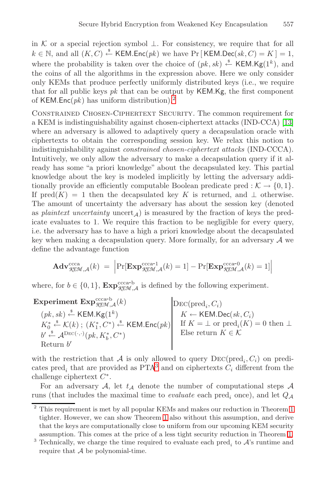in K or a special rejection symbol  $\perp$ . For consistency, we require that for all  $k \in \mathbb{N}$ , and all  $(K, C) \stackrel{\$}{\leftarrow}$  KEM.Enc $(pk)$  we have Pr [KEM.[De](#page-18-1)c $(sk, C) = K$ ] = 1, where the probability is taken over the choice of  $(pk, sk) \stackrel{\$}{\leftarrow} \textsf{KEM.Kg}(1^k)$ , and the coins of all the algorithms in the expression above. Here we only consider only KEMs that produce perfectly uniformly distributed keys (i.e., we require that for all public keys  $pk$  that can be output by KEM.Kg, the first component of KEM.Enc( $pk$ ) has uniform distribution).<sup>2</sup>

Constrained Chosen-Ciphertext Security. The common requirement for a KEM is indistinguishability against chosen-ciphertext attacks (IND-CCA) [13] where an adversary is allowed to adaptively query a decapsulation oracle with ciphertexts to obtain the corresponding session key. We relax this notion to indistinguishability against constrained chosen-ciphertext attacks (IND-CCCA). Intuitively, we only allow the adversary to make a decapsulation query if it already has some "a priori knowledge" about the decapsulated key. This partial knowledge about the key is modeled implicitly by letting the adversary additionally provide an efficiently computable Boolean predicate pred :  $K \rightarrow \{0, 1\}$ . If pred $(K) = 1$  then the decapsulated key K is returned, and  $\perp$  otherwise. The amount of uncertainty the adversary has about the session key (denoted as plaintext uncertainty uncert<sub>A</sub>) is measured by the fraction of keys the predicate evaluates to 1. We require this fraction to be negligible for every query, i.e. the adversary has to have a high a priori knowledge about the decapsulated key when making a decapsulation query. More formally, for an adversary  $A$  we define the advantage function

$$
\mathbf{Adv}_{\mathcal{REM},\mathcal{A}}^{\text{ccca}}(k) = \left| \Pr[\mathbf{Exp}_{\mathcal{REM},\mathcal{A}}^{\text{ccca-1}}(k) = 1] - \Pr[\mathbf{Exp}_{\mathcal{REM},\mathcal{A}}^{\text{ccca-0}}(k) = 1] \right|
$$

where, for  $b \in \{0, 1\}$ ,  $\mathbf{Exp}_{\mathcal{R}\in\mathcal{M},\mathcal{A}}^{\text{ccca-b}}$  is defined by the following experiment.

**Experiment Exp**<sub>QEM</sub>
$$
f(k) = \n\begin{cases}\n\begin{cases}\n\text{BEC}}\n\text{CDF} & \text{DEC}}\n\end{cases}\n\end{cases}
$$
\n
$$
\begin{cases}\n\text{CDF} & \text{C}(\text{CDF}) \\
\text{DEC}}\n\end{cases}
$$
\n
$$
\begin{cases}\nK \leftarrow \text{KEM} \cdot \text{Dec}(sk, C_i) \\
K \leftarrow \text{KEM} \cdot \text{Dec}(sk, C_i) \\
\text{CDF} & \text{CDF} \leq k, \text{CDF} \leq k, \text{CDF} \leq k, \text{CDF} \leq k, \text{CDF} \leq k, \text{CDF} \leq k, \text{CDF} \leq k, \text{CDF} \leq k, \text{CDF} \leq k, \text{CDF} \leq k, \text{CDF} \leq k, \text{CDF} \leq k, \text{CDF} \leq k, \text{CDF} \leq k, \text{CDF} \leq k, \text{CDF} \leq k, \text{CDF} \leq k, \text{CDF} \leq k, \text{CDF} \leq k, \text{CDF} \leq k, \text{CDF} \leq k, \text{CDF} \leq k, \text{CDF} \leq k, \text{CDF} \leq k, \text{CDF} \leq k, \text{CDF} \leq k, \text{CDF} \leq k, \text{CDF} \leq k, \text{CDF} \leq k, \text{CDF} \leq k, \text{CDF} \leq k, \text{CDF} \leq k, \text{CDF} \leq k, \text{CDF} \leq k, \text{CDF} \leq k, \text{CDF} \leq k, \text{CDF} \leq k, \text{CDF} \leq k, \text{CDF} \leq k, \text{CDF} \leq k, \text{CDF} \leq k, \text{CDF} \leq k, \text{CDF} \leq k, \text{CDF} \leq k, \text{CDF} \leq k, \text{CDF} \leq k, \text{CDF} \leq k, \text{CDF} \leq k, \text{CDF} \leq k, \text{CDF} \leq k, \text{CDF} \leq k, \text{CDF} \leq k, \text{
$$

<span id="page-4-0"></span>with the restriction that A is only allowed to query  $\text{Dec}(\text{pred}_i, C_i)$  on predicates pred, that are provided as  $\text{PTA}^3$  and on ciphertexts  $C_i$  $C_i$  different from the challenge ciphertext  $C^*$ .

<span id="page-4-1"></span>For an adversary  $A$ , let  $t_A$  denote the number of computational steps  $A$ runs (that includes the maximal time to *evaluate* each pred<sub>i</sub> once), and let  $Q_A$ 

<sup>2</sup> This requirement is met by all popular KEMs and makes our reduction in Theorem 1 tighter. However, we can show Theorem 1 also without this assumption, and derive that the keys are computationally close to uniform from our upcoming KEM security assumption. This comes at the price of a less tight security reduction in Theorem 1.

<sup>&</sup>lt;sup>3</sup> Technically, we charge the time required to evaluate each pred<sub>i</sub> to  $\mathcal{A}$ 's runtime and require that  $A$  be polynomial-time.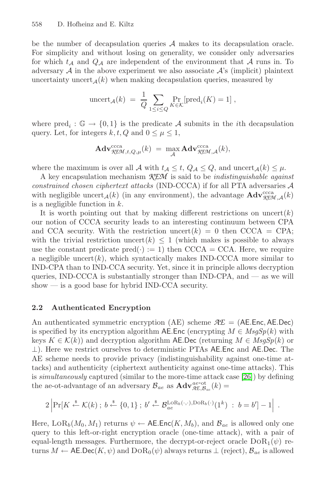be the number of decapsulation queries  $A$  makes to its decapsulation oracle. For simplicity and without losing on generality, we consider only adversaries for which  $t_A$  and  $Q_A$  are independent of the environment that A runs in. To adversary  $A$  in the above experiment we also associate  $A$ 's (implicit) plaintext uncertainty uncert<sub> $\mathcal{A}(k)$ </sub> when making decapsulation queries, measured by

uncert<sub>A</sub>(k) = 
$$
\frac{1}{Q} \sum_{1 \le i \le Q} \Pr_{K \in \mathcal{K}}[\text{pred}_i(K) = 1]
$$
,

where  $\text{pred}_i : \mathbb{G} \to \{0,1\}$  is the predicate A submits in the *i*th decapsulation query. Let, for integers  $k, t, Q$  and  $0 \leq \mu \leq 1$ ,

$$
\mathbf{Adv}_{\mathfrak{KEM},t,Q,\mu}^{\mathrm{ccca}}(k) = \max_{\mathcal{A}} \mathbf{Adv}_{\mathfrak{KEM},\mathcal{A}}^{\mathrm{ccca}}(k),
$$

where the maximum is over all A with  $t_A \leq t$ ,  $Q_A \leq Q$ , and uncert<sub>A</sub>(k)  $\leq \mu$ .

A key encapsulation mechanism *KEM* is said to be indistinguishable against constrained chosen ciphertext attacks (IND-CCCA) if for all PTA adversaries A with negligible uncert<sub>A</sub>(k) (in any environment), the advantage  $\mathbf{Adv}_{\mathcal{REM},\mathcal{A}}^{\text{ccca}}(k)$ is a negligible function in  $k$ .

It is worth pointing out that by making different restrictions on uncert $(k)$ our notion of CCCA security leads to an interesting continuum between CPA and CCA security. With the restriction uncert $(k) = 0$  then CCCA = CPA; with the trivial restriction uncert $(k) \leq 1$  (which makes is possible to always use the constant predicate pred $(\cdot) := 1$ ) then CCCA = CCA. Here, we require a negligible uncert $(k)$ , which syntactically makes IND-CCCA more similar to IND-CPA than to IND-CCA security. Yet, since it in principle allows decryption queries, IND-CCCA is substantially stronger than IND-CPA, and  $-$  as we will show — is a good base for hybrid IND-CCA security.

# **2.2 Authenticated Encryption**

An authenticated symmetric encryption (AE) scheme *AE* = (AE.Enc, AE.Dec) is specified by its encryption algorithm AE.Enc (encrypting  $M \in MsgSp(k)$  with keys  $K \in \mathcal{K}(k)$  and decryption algorithm AE.Dec (returning  $M \in MsgSp(k)$  or ⊥). Here we restrict ourselves to deterministic PTAs AE.Enc and AE.Dec. The AE scheme needs to provide privacy (indistinguishability against one-time attacks) and authenticity (ciphertext authenticity against one-time attacks). This is simultaneously captured (similar to the more-time attack case [26]) by defining the ae-ot-advantage of an adversary  $\mathcal{B}_{ae}$  as  $\mathbf{Adv}_{\mathcal{A}E,\mathcal{B}_{ae}}^{ae-ot}(k)$ 

$$
2\left|\Pr[K \stackrel{\$}{\leftarrow} \mathcal{K}(k); b \stackrel{\$}{\leftarrow} \{0,1\}; b' \stackrel{\$}{\leftarrow} \mathcal{B}_{ae}^{\text{LOR}_b(\cdot,\cdot),\text{DOR}_b(\cdot)}(1^k) : b = b'] - 1\right|.
$$

Here,  $\text{LoR}_b(M_0, M_1)$  returns  $\psi \leftarrow \text{AE}.\text{Enc}(K, M_b)$ , and  $\mathcal{B}_{ae}$  is allowed only one query to this left-or-right encryption oracle (one-time attack), with a pair of equal-length messages. Furthermore, the decrypt-or-reject oracle  $DoR_1(\psi)$  returns  $M \leftarrow \mathsf{AE}.\mathsf{Dec}(K,\psi)$  and  $\mathrm{DoR}_0(\psi)$  always returns  $\bot$  (reject),  $\mathcal{B}_{ae}$  is allowed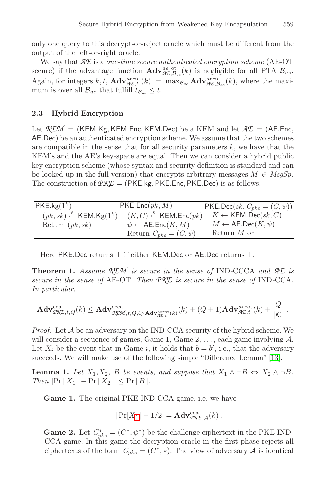only one query to this decrypt-or-reject oracle which must be different from the output of the left-or-right oracle.

We say that *AE* is a one-time secure authenticated encryption scheme (AE-OT secure) if the advantage function  $\mathbf{Adv}_{\mathcal{A}\mathcal{E},\mathcal{B}_{ae}}^{ae\text{-ot}}(k)$  is negligible for all PTA  $\mathcal{B}_{ae}$ . Again, for integers  $k, t$ ,  $\mathbf{Adv}_{\mathcal{A}\mathcal{E},t}^{ae-ot}(k) = \max_{\mathcal{B}_{ae}} \mathbf{Adv}_{\mathcal{A}\mathcal{E},\mathcal{B}_{ae}}^{ae-ot}(k)$ , where the maximum is over all  $\mathcal{B}_{ae}$  that fulfill  $t_{\mathcal{B}_{ae}} \leq t$ .

# **2.3 Hybrid Encryption**

Let  $\mathcal{KEM} = (KEM.Kg, KEM.Enc, KEM.Dec)$  be a KEM and let  $\mathcal{A}E = (AE.Enc,$ AE.Dec) be an authenticated encryption scheme. We assume that the two schemes are compatible in the sense that for all security parameters  $k$ , we have that the KEM's and the AE's key-space are equal. Then we can consider a hybrid public key encryption scheme (whose syntax and security definition is standard and can be looked up in the full version) that encrypts arbitrary messages  $M \in MsgSp$ . The construction of  $P X E = (P K E.kg, P K E.Enc, P K E.Dec)$  is as follows.

<span id="page-6-0"></span>

| $PKE.kg(1^k)$                                       | PKE.Enc(pk, M)                                                                                      | $PKE\cdot Dec(sk, C_{pke} = (C, \psi)$           |
|-----------------------------------------------------|-----------------------------------------------------------------------------------------------------|--------------------------------------------------|
| $(pk, sk) \stackrel{\$}{\leftarrow}$ KEM.Kg $(1^k)$ | $(K, C) \stackrel{\hspace{0.1em}\mathsf{\scriptscriptstyle\$}}{\leftarrow}$ KEM.Enc $(\mathit{pk})$ | $K \leftarrow$ KEM.Dec(sk, C)                    |
| Return $(pk, sk)$                                   | $\psi \leftarrow \mathsf{AE}.\mathsf{Enc}(K,M)$                                                     | $M \leftarrow \mathsf{AE}.\mathsf{Dec}(K, \psi)$ |
|                                                     | Return $C_{pke} = (C, \psi)$                                                                        | Return M or $\perp$                              |

Here PKE.Dec returns ⊥ if either KEM.Dec or AE.Dec returns ⊥.

**Theorem 1.** Assume *KEM* is secure in the sense of IND-CCCA and *AE* is secure in the sense of AE-OT. Then *PKE* is secure in the sense of IND-CCA. In particular,

$$
\mathbf{Adv}_{\mathcal{P}\mathcal{X}\mathcal{E},t,Q}^{\text{cca}}(k) \leq \mathbf{Adv}_{\mathcal{X}\mathcal{E}\mathcal{M},t,Q,Q\cdot \mathbf{Adv}_{\mathcal{X}\mathcal{E},t}^{ae\text{-ot}}(k)}(k) + (Q+1)\mathbf{Adv}_{\mathcal{X}\mathcal{E},t}^{ae\text{-ot}}(k) + \frac{Q}{|\mathcal{K}|}.
$$

<span id="page-6-1"></span>*Proof.* Let  $A$  be an adversary on the IND-CCA security of the hybrid scheme. We will consider a sequence of games, Game 1, Game  $2, \ldots$ , each game involving A. Let  $X_i$  be t[he](#page-6-1) event that in Game i, it holds that  $b = b'$ , i.e., that the adversary succeeds. We will make use of the following simple "Difference Lemma" [13].

<span id="page-6-2"></span>**Lemma 1.** Let  $X_1, X_2, B$  be events, and suppose that  $X_1 \land \neg B \Leftrightarrow X_2 \land \neg B$ . Then  $|\Pr[X_1] - \Pr[X_2]| \leq \Pr[B]$ .

Game 1. The original PKE IND-CCA game, i.e. we have

$$
|\Pr[X_1] - 1/2| = \mathbf{Adv}_{\mathcal{PKE},\mathcal{A}}^{\text{cca}}(k) .
$$

**Game 2.** Let  $C_{pke}^* = (C^*, \psi^*)$  be the challenge ciphertext in the PKE IND-CCA game. In this game the decryption oracle in the first phase rejects all ciphertexts of the form  $C_{pke} = (C^*, *)$ . The view of adversary A is identical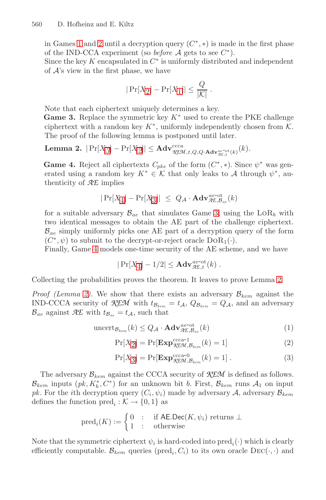<span id="page-7-1"></span>in Games 1 and 2 until a decryption query  $(C^*, *)$  is made in the first phase of the IND-CCA experiment (so *before*  $\mathcal A$  gets to see  $C^*$ ).

Since the key K encapsulated in  $C^*$  is uniformly distributed and independent of  $A$ 's view in the first phase, we have

<span id="page-7-2"></span>
$$
|\Pr[X_2]-\Pr[X_1]| \leq \frac{Q}{|\mathcal{K}|} \;.
$$

<span id="page-7-0"></span>Note that each ciphertext uniquely determines a key.

**Game 3.** Replace the symmetric key  $K^*$  used to create the PKE challenge cip[her](#page-7-0)text wi[th](#page-7-1) a random key  $K^*$ , uniformly independently chosen from  $K$ . The proof of the following lemma is postponed until later.

**Lemma 2.** 
$$
|\Pr[X_{\mathcal{G}}] - \Pr[X_{\mathcal{Q}}]| \leq \mathbf{Adv}_{\mathcal{R} \mathcal{L} \mathcal{M}, t, Q, Q \cdot \mathbf{Adv}_{\mathcal{R} \mathcal{L}, t}^{\text{ac-ot}}(k)}(k).
$$

**Game 4.** Reject all ciphertexts  $C_{pke}$  of the form  $(C^*, *)$ . Since  $\psi^*$  was generated using a random key  $K^* \in \mathcal{K}$  that only leaks to A through  $\psi^*$ , authenticity of *AE* implies

$$
|\Pr[X_4] - \Pr[X_3]| \leq Q_{\mathcal{A}} \cdot \mathbf{Adv}_{\mathcal{A}\mathcal{L}, \mathcal{B}_{ae}}^{ae \text{-ot}}(k)
$$

for a suitable adversary  $\mathcal{B}_{ae}$  that simulates Game [3,](#page-7-2) using the LOR<sub>b</sub> with two identical messages to obtain the AE part of the challenge ciphertext.  $B_{ae}$  simply uniformly picks one AE part of a decryption query of the form  $(C^*, \psi)$  to submit to the decrypt-or-reject oracle  $DoR_1(\cdot)$ .

Finally, Game 4 models one-time security of the AE scheme, and we have

$$
|\Pr[X_4] - 1/2| \leq \mathbf{Adv}_{\mathcal{A}\mathcal{E},t}^{ae\text{-ot}}(k) .
$$

<span id="page-7-3"></span>Collecting [th](#page-6-2)e probabilities proves the theorem. It leaves to prove Lemma 2.

*Proof (Le[mm](#page-7-1)a 2)*. We show that there exists an adversary  $B_{kem}$  against the IND-CCCA security of  $\mathcal{KEM}$  with  $t_{\mathcal{B}_{kem}} = t_{\mathcal{A}}, Q_{\mathcal{B}_{kem}} = Q_{\mathcal{A}},$  and an adversary  $B_{ae}$  against  $\mathcal{A}\mathcal{E}$  with  $t_{B_{ae}} = t_{\mathcal{A}}$ , such that

uncert
$$
\mathbf{g}_{\text{kem}}(k) \leq Q_{\mathcal{A}} \cdot \mathbf{Adv}_{\mathcal{A}\mathcal{E},\mathcal{B}_{\text{ae}}}^{a\text{e-of}}(k)
$$
 (1)

$$
\Pr[X_2] = \Pr[\mathbf{Exp}_{\mathcal{REM},\mathcal{B}_{\mathcal{Kem}}^{ccca-1}}(k) = 1] \tag{2}
$$

$$
\Pr[X_3] = \Pr[\mathbf{Exp}_{\mathcal{R}\mathcal{LM}, \mathcal{B}_{\mathcal{km}}}^{\text{ccca-0}}(k) = 1]. \tag{3}
$$

The adversary  $\mathcal{B}_{kem}$  against the CCCA security of  $\mathcal{KEM}$  is defined as follows.  $\mathcal{B}_{kem}$  inputs  $(pk, K_b^*, C^*)$  for an unknown bit b. First,  $\mathcal{B}_{kem}$  runs  $\mathcal{A}_1$  on input pk. For the *i*th decryption query  $(C_i, \psi_i)$  made by adversary A, adversary  $\mathcal{B}_{kem}$ defines the function pred<sub>i</sub> :  $K \rightarrow \{0, 1\}$  as

$$
\text{pred}_i(K) := \begin{cases} 0 & \text{: if } \text{AE.Dec}(K, \psi_i) \text{ returns } \bot \\ 1 & \text{: otherwise} \end{cases}
$$

Note that the symmetric ciphertext  $\psi_i$  is hard-coded into pred<sub>i</sub>(·) which is clearly efficiently computable.  $\mathcal{B}_{kem}$  queries (pred<sub>i</sub>,  $C_i$ ) to its own oracle  $\text{DEC}(\cdot, \cdot)$  and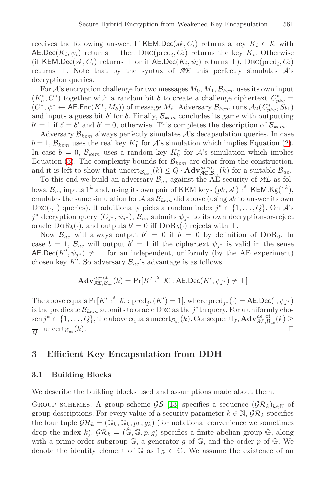receives the following answer. If KEM.Dec(sk, C<sub>i</sub>) returns a key  $K_i \in \mathcal{K}$  with AE.Dec( $K_i, \psi_i$ ) returns  $\perp$  then DEC(pred<sub>i</sub>,  $C_i$ ) returns the key  $K_i$ . Otherwise (if KEM.Dec(sk,  $C_i$ ) returns  $\perp$  or if AE.Dec( $K_i, \psi_i$ ) returns  $\perp$ ), DEC(pred<sub>i</sub>,  $C_i$ ) returns ⊥. Note that by the syntax of *AE* this pe[rfe](#page-7-3)ctly simulates A's decryption queries.

For A's encryption challenge for two messages  $M_0, M_1, B_{kem}$  uses its own input  $(K_b^*, C^*)$  together with a random bit  $\delta$  to create a challenge ciphertext  $C_{pke}^* =$  $(C^*,\psi^* \leftarrow \mathsf{AE}.\mathsf{Enc}(K^*,M_\delta))$  of message  $M_\delta$ . Adversary  $\mathcal{B}_{kem}$  runs  $\mathcal{A}_2(C^*_{pke},St_1)$ and inputs a guess bit  $\delta'$  for  $\delta$ . Finally,  $\mathcal{B}_{kem}$  concludes its game with outputting  $b' = 1$  if  $\delta = \delta'$  and  $b' = 0$ , otherwise. This completes the description of  $\mathcal{B}_{kem}$ .

Adversary  $B_{kem}$  always perfectly simulates  $A$ 's decapsulation queries. In case  $b = 1, B_{kem}$  uses the real key  $K_1^*$  for  $A$ 's simulation which implies Equation (2). In case  $b = 0$ ,  $\mathcal{B}_{kem}$  uses a random key  $K_0^*$  for  $\mathcal{A}$ 's simulation which implies Equation (3). The complexity bounds for  $\mathcal{B}_{kem}$  are clear from the construction, and it is left to show that  $\operatorname{uncert}_{\mathcal{B}_{kem}}(k) \leq Q \cdot \mathbf{Adv}_{\mathcal{A}\mathcal{E},\mathcal{B}_{ae}}^{ae\text{-ot}}(k)$  for a suitable  $\mathcal{B}_{ae}$ .

To this end we build an adversary  $\mathcal{B}_{ae}$  against the AE security of  $\mathcal{A}\mathcal{E}$  as follows.  $\mathcal{B}_{ae}$  inputs  $1^k$  and, using its own pair of KEM keys  $(pk, sk) \stackrel{\text{\$}}{\leftarrow}$  KEM.Kg $(1^k)$ , emulates the same simulation for  $A$  as  $B_{kem}$  did above (using sk to answer its own DEC( $\cdot$ ,  $\cdot$ ) queries). It additionally picks a random index  $j^* \in \{1, \ldots, Q\}$ . On A's j<sup>∗</sup> decryption query  $(C_{j^*}, \psi_{j^*})$ ,  $\mathcal{B}_{ae}$  submits  $\psi_{j^*}$  to its own decryption-or-reject oracle  $DoR_b(\cdot)$ , and outputs  $b' = 0$  iff  $DoR_b(\cdot)$  rejects with  $\bot$ .

Now  $\mathcal{B}_{ae}$  will always output  $b' = 0$  if  $b = 0$  by definition of DoR<sub>0</sub>. In case  $b = 1$ ,  $\mathcal{B}_{ae}$  will output  $b' = 1$  iff the ciphertext  $\psi_{i^*}$  is valid in the sense  $\mathsf{AE}.\mathsf{Dec}(K', \psi_{j^*}) \neq \bot$  for an independent, uniformly (by the AE experiment) chosen key K'. So adversary  $\mathcal{B}_{ae}$ 's advantage is as follows.

$$
\mathbf{Adv}_{\mathcal{A}\mathcal{E},\mathcal{B}_{ae}}^{ae\text{-ot}}(k) = \Pr[K' \stackrel{\$}{\leftarrow} \mathcal{K} : \mathsf{AE}.\mathsf{Dec}(K',\psi_{j^*}) \neq \bot]
$$

<span id="page-8-0"></span>The above equals  $Pr[K' \stackrel{\$}{\leftarrow} \mathcal{K} : pred_{j^*}(K') = 1],$  where  $pred_{j^*}(\cdot) = AE\cdot Dec(\cdot, \psi_{j^*})$ is the predicate  $B_{kem}$  submits to oracle DEC as the j<sup>\*</sup>th query. For a uniformly cho- $\text{sen } j^* \in \{1, \ldots, Q\}$ , the above equals uncert<sub> $\mathcal{B}_{ae}(k)$ </sub>. Consequently,  $\mathbf{Adv}_{\mathcal{H}, \mathcal{B}_{ae}}^{ae-\text{ot}}(k) \geq \frac{1}{\pi} \cdot \text{uncert}_{Re}(k)$ .  $\frac{1}{Q}$  · uncert<sub> $\mathcal{B}_{ae}(k)$ </sub>  $\Box$ 

# **3 Efficient Key Encapsulation from DDH**

#### **3.1 Building Blocks**

We describe the building blocks used and assumptions made about them.

GROUP SCHEMES. A group scheme  $\mathcal{GS}$  [13] specifies a sequence  $(\mathcal{GR}_k)_{k\in\mathbb{N}}$  of group descriptions. For every value of a security parameter  $k \in \mathbb{N}$ ,  $\mathcal{GR}_k$  specifies the four tuple  $\mathcal{GR}_k = (\mathbb{G}_k, \mathbb{G}_k, p_k, g_k)$  (for notational convenience we sometimes drop the index k).  $\mathcal{GR}_k = (\hat{\mathbb{G}}, \mathbb{G}, p, q)$  specifies a finite abelian group  $\hat{\mathbb{G}}$ , along with a prime-order subgroup  $\mathbb{G}$ , a generator q of  $\mathbb{G}$ , and the order p of  $\mathbb{G}$ . We denote the identity element of  $\mathbb{G}$  as  $1_{\mathbb{G}} \in \mathbb{G}$ . We assume the existence of an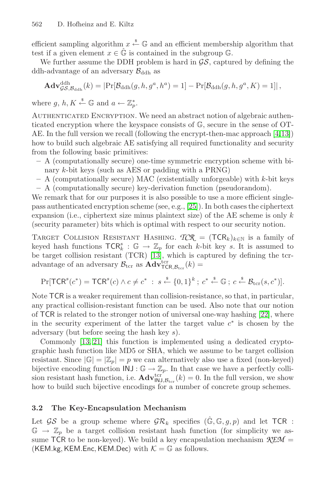efficient sampling algorithm  $x \stackrel{\text{s}}{\leftarrow} \mathbb{G}$  and an efficient membership algorithm that test if a given element  $x \in \hat{\mathbb{G}}$  is contained in the subgroup  $\mathbb{G}$ .

We further assume the DDH problem is hard in  $\mathcal{GS}$ , [c](#page-17-2)[apt](#page-18-1)ured by defining the ddh-advantage of an adversary  $B_{\text{ddh}}$  as

$$
\mathbf{Adv}_{\mathcal{GS},\mathcal{B}_{\mathrm{ddh}}}(k) = \left| \Pr[\mathcal{B}_{\mathrm{ddh}}(g,h,g^a,h^a) = 1] - \Pr[\mathcal{B}_{\mathrm{ddh}}(g,h,g^a,K) = 1] \right|,
$$

where  $g, h, K \stackrel{\$}{\leftarrow} \mathbb{G}$  and  $a \leftarrow \mathbb{Z}_p^*$ .

AUTHENTICATED ENCRYPTION. We need an abstract notion of algebraic authenticated encryption where the keyspace consists of G, secure in the sense of OT-AE. In the full version we rec[all](#page-18-8) (following the encrypt-then-mac approach [4,13]) how to build such algebraic AE satisfying all required functionality and security from the following basic primitives:

- **–** A (computationally secure) one-time symmetric encryption scheme with binary k-bit keys (such as AES or padding with a PRNG)
- **–** A (computationally secure) MAC (existentially unforgeable) with k-bit keys **–** A (computat[iona](#page-18-1)lly secure) key-derivation function (pseudorandom).

We remark that for our purposes it is also possible to use a more efficient singlepass authenticated encryption scheme (see, e.g., [25]). In both cases the ciphertext expansion (i.e., ciphertext size minus plaintext size) of the AE scheme is only  $k$ (security parameter) bits which is optimal with respect to our security notion.

TARGET COLLISION RESISTANT HASHING.  $TCR = (TCR_k)_{k \in \mathbb{N}}$  is a family of keyed hash functions  $\mathsf{TCR}_k^s : \mathbb{G} \to \mathbb{Z}_p$  for each k[-b](#page-18-12)it key s. It is assumed to be target collision resistant (TCR) [13], which is captured by defining the tcradvantage of an adversary  $\mathcal{B}_{\text{tor}}$  as  $\mathbf{\hat{A}} \mathbf{dv}_{\text{TCR},\mathcal{B}_{\text{tor}}}^{\text{tor}}(k) =$ 

$$
\Pr[\mathsf{TCR}^s(c^*) = \mathsf{TCR}^s(c) \land c \neq c^* \; : \; s \stackrel{\$}{\leftarrow} \{0,1\}^k \; : \; c^* \stackrel{\$}{\leftarrow} \mathbb{G} \; : \; c \stackrel{\$}{\leftarrow} \mathcal{B}_{\text{tcr}}(s, c^*)].
$$

Note TCR is a weaker requirement than collision-resistance, so that, in particular, any practical collision-resistant function can be used. Also note that our notion of TCR is related to the stronger notion of universal one-way hashing [22], where in the security experiment of the latter the target value  $c^*$  is chosen by the adversary (but before seeing the hash key s).

Commonly [13, 21] this function is implemented using a dedicated cryptographic hash function like MD5 or SHA, which we assume to be target collision resistant. Since  $|\mathbb{G}| = |\mathbb{Z}_p| = p$  we can alternatively also use a fixed (non-keyed) bijective encoding function  $\mathsf{INJ} : \mathbb{G} \to \mathbb{Z}_p$ . In that case we have a perfectly collision resistant hash function, i.e.  $\mathbf{Adv}_{\text{INJ},\mathcal{B}_{\text{ter}}}^{\text{ter}}(k) = 0$ . In the full version, we show how to build such bijective encodings for a number of concrete group schemes.

# **3.2 The Key-Encapsulation Mechanism**

Let GS be a group scheme where  $\mathcal{GR}_k$  specifies  $(\mathbb{G}, \mathbb{G}, g, p)$  and let TCR :  $\mathbb{G} \to \mathbb{Z}_p$  be a target collision resistant hash function (for simplicity we assume TCR to be non-keyed). We build a key encapsulation mechanism  $\mathcal{K} \mathcal{L} \mathcal{M} =$ (KEM.kg, KEM.Enc, KEM.Dec) with  $K = \mathbb{G}$  as follows.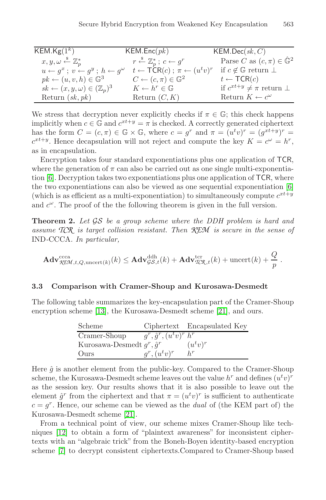| $KEM.Kg(1^k)$                                                                                    | KEM.Enc(pk)                                                       | KEM.Dec(sk, C)                               |
|--------------------------------------------------------------------------------------------------|-------------------------------------------------------------------|----------------------------------------------|
| $x, y, \omega \stackrel{\hspace{0.1em}\mathsf{\scriptscriptstyle\$}}{\leftarrow} \mathbb{Z}_p^*$ | $r \stackrel{\$}{\leftarrow} \mathbb{Z}_p^*$ ; $c \leftarrow g^r$ | Parse C as $(c, \pi) \in \hat{\mathbb{G}}^2$ |
| $u \leftarrow g^x$ ; $v \leftarrow g^y$ ; $h \leftarrow g^{\omega}$                              | $t \leftarrow \mathsf{TCR}(c)$ ; $\pi \leftarrow (u^t v)^r$       | if $c \notin \mathbb{G}$ return $\perp$      |
| $pk \leftarrow (u, v, h) \in \mathbb{G}^3$                                                       | $C \leftarrow (c, \pi) \in \mathbb{G}^2$                          | $t \leftarrow \mathsf{TCR}(c)$               |
| $sk \leftarrow (x, y, \omega) \in (\mathbb{Z}_p)^3$                                              | $K \leftarrow h^r \in \mathbb{G}$                                 | if $c^{xt+y} \neq \pi$ return $\perp$        |
| Return $(sk, pk)$                                                                                | Return $(C, K)$                                                   | Return $K \leftarrow c^{\omega}$             |

We stress that decryption never explicitly checks if  $\pi \in \mathbb{G}$ [;](#page-17-3) this check happens implicitly when  $c \in \mathbb{G}$  and  $c^{xt+y} = \pi$  is checked. A correctly generated ciphertext has the form  $C = (c, \pi) \in \mathbb{G} \times \mathbb{G}$ , where  $c = g^r$  and  $\pi = (u^t v)^r = (g^{xt+y})^r =$  $c^{xt+y}$ . Hence decapsulation will not reject and compute the key  $K = c^{\omega} = h^r$ , as in encapsulation.

Encryption takes four standard exponentiations plus one application of TCR, where the generation of  $\pi$  can also be carried out as one single multi-exponentiation [6]. Decryption takes two exponentiations plus one application of TCR, where the two exponentiations can also be viewed as one sequential exponentiation [6] (which is as efficient as a multi-exponentiation) to simultaneously compute  $c^{xt+y}$ and  $c^{\omega}$ . The proof of the the following theorem is given in the full version.

**Theorem 2.** Let GS be a group scheme where the DDH problem is hard and assume *TCR* is target collision resistant. Then *KEM* is secure in the sense of [IND](#page-18-1)-CCCA. In particular,

$$
\mathbf{Adv}_{\mathcal{REM},t,Q,\mathrm{uncert}(k)}^{\mathrm{ccca}}(k) \leq \mathbf{Adv}_{\mathcal{GS},t}^{\mathrm{ddh}}(k) + \mathbf{Adv}_{\mathcal{TCR},t}^{\mathrm{tor}}(k) + \mathrm{uncert}(k) + \frac{Q}{p}.
$$

# **3.3 Comparison with Cramer-Shoup and Kurosawa-Desmedt**

The following table summarizes the key-encapsulation part of the Cramer-Shoup encryption scheme [13], the Kurosawa-Desmedt scheme [21], and ours.

| Scheme                               |                                   | Ciphertext Encapsulated Key |
|--------------------------------------|-----------------------------------|-----------------------------|
| Cramer-Shoup                         | $g^r, \hat{g}^r, (u^t v)^{r} h^r$ |                             |
| Kurosawa-Desmedt $q^r$ , $\hat{q}^r$ |                                   | $(u^tv)^r$                  |
| Ours                                 | $q^r, (u^tv)^r$                   |                             |

Here  $\hat{g}$  is another element from the public-key. Compared to the Cramer-Shoup scheme, the Kurosawa-Desmedt scheme leaves out the value  $h^r$  and defines  $(u^tv)^r$ as the session key. Our results shows that it is also possible to leave out the element  $\hat{g}^r$  from the ciphertext and that  $\pi = (u^t v)^r$  is sufficient to authenticate  $c = g<sup>r</sup>$ . Hence, our scheme can be viewed as the *dual* of (the KEM part of) the Kurosawa-Desmedt scheme [21].

From a technical point of view, our scheme mixes Cramer-Shoup like techniques [12] to obtain a form of "plaintext awareness" for inconsistent ciphertexts with an "algebraic trick" from the Boneh-Boyen identity-based encryption scheme [7] to decrypt consistent ciphertexts.Compared to Cramer-Shoup based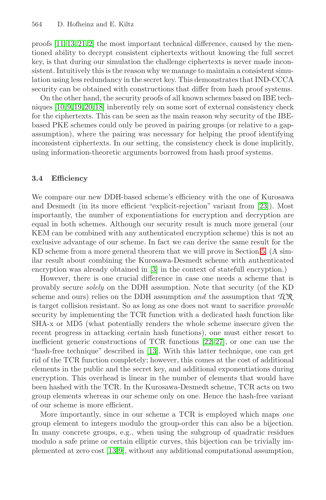[pro](#page-18-13)ofs  $[11,13,21,2]$  the most important technical difference, caused by the mentioned ability to decrypt consistent ciphertexts without knowing the full secret key, is that during our simulation the challenge ciphertexts is never made inconsistent. Intuitively this is the reason why we manage to maintain a consistent simulation using less redundancy in the secret key. This demonstrates that IND-CCCA security can be obtained with constructions that differ from hash proof systems.

On the other hand, the security proofs of all known schemes based on IBE techniques [10,9,19,20,18] inherently rely on some sort of external consistency check for the ciphertexts. This can be seen as the main reason why security of the IBEbased PKE schemes could only be proved in pairing groups (or relative to a gapassumption), where the pairing was necessary for [he](#page-18-14)lping the proof identifying inconsistent ciphertexts. In our setting, the consistency check is done implicitly, using information-theoretic arguments borrowed from hash proof systems.

# **3.4 Efficiency**

We compare our [ne](#page-17-4)w DDH-based scheme's efficiency with the one of Kurosawa and Desmedt (in its more efficient "explicit-rejection" variant from [23]). Most importantly, the number of exponentiations for encryption and decryption are equal in both schemes. Although our security result is much more general (our KEM can be combined with any authenticated encryption scheme) this is not an exclusive advantage of our scheme. In fact we can derive the same result for the KD scheme from a more general theorem that we will prove in Section 5. (A similar result about combining the Kurosawa-Desmedt scheme with authenticated encryption was already obtained [in](#page-18-12) [\[3\] i](#page-18-15)n the context of statefull encryption.)

However, the[re i](#page-18-1)s one crucial difference in case one needs a scheme that is provably secure solely on the DDH assumption. Note that security (of the KD scheme and ours) relies on the DDH assumption and the assumption that *TCR* is target collision resistant. So as long as one does not want to sacrifice provable security by implementing the TCR function with a dedicated hash function like SHA-x or MD5 (what potentially renders the whole scheme insecure given the recent progress in attacking certain hash functions), one must either resort to inefficient generic constructions of TCR functions [22, 27], or one can use the "hash-free technique" described in [13]. With this latter technique, one can get rid of the TCR function completely; however, this comes at the cost of additional elements in the public and the secret key, and additional exponentiations during enc[ryp](#page-18-1)[tio](#page-17-5)n. This overhead is linear in the number of elements that would have been hashed with the TCR. In the Kurosawa-Desmedt scheme, TCR acts on two group elements whereas in our scheme only on one. Hence the hash-free variant of our scheme is more efficient.

More importantly, since in our scheme a TCR is employed which maps one group element to integers modulo the group-order this can also be a bijection. In many concrete groups, e.g., when using the subgroup of quadratic residues modulo a safe prime or certain elliptic curves, this bijection can be trivially implemented at zero cost [13,9], without any additional computational assumption,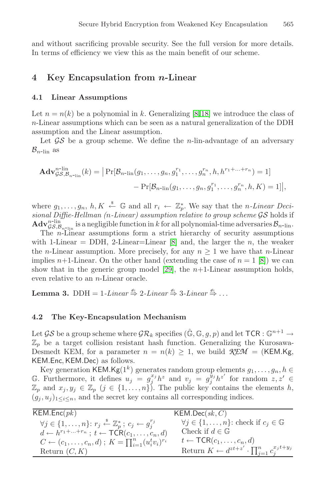and without sacrificing prova[bl](#page-17-0)[e se](#page-18-13)curity. See the full version for more details. In terms of efficiency we view this as the main benefit of our scheme.

# **4 Key Encapsulation from** *n***-Linear**

## **4.1 Linear Assumptions**

Let  $n = n(k)$  be a polynomial in k. Generalizing [8,18] we introduce the class of n-Linear assumptions which can be seen as a natural generalization of the DDH assumption and the Linear assumption.

Let  $\mathcal{G}\mathcal{S}$  be a group scheme. We define the *n*-lin-advantage of an adversary  $\mathcal{B}_{n-\text{lin}}$  as

$$
\mathbf{Adv}_{\mathcal{GS},\mathcal{B}_{n-1in}}^{n-1in}(k) = \left| \Pr[\mathcal{B}_{n-1in}(g_1,\ldots,g_n,g_1^{r_1},\ldots,g_n^{r_n},h,h^{r_1+\ldots+r_n})=1] - \Pr[\mathcal{B}_{n-1in}(g_1,\ldots,g_n,g_1^{r_1},\ldots,g_n^{r_n},h,K)=1] \right|,
$$

where  $g_1, \ldots, g_n$ ,  $h, K \stackrel{\text{s}}{\leftarrow} \mathbb{G}$  $h, K \stackrel{\text{s}}{\leftarrow} \mathbb{G}$  $h, K \stackrel{\text{s}}{\leftarrow} \mathbb{G}$  and all  $r_i \leftarrow \mathbb{Z}_p^*$ . We say that the *n*-Linear Decisional Diffie-Hellman (n-Linear) assumption relative to group scheme  $\mathcal{G}\mathcal{S}$  holds if  $\mathbf{Adv}_{\mathcal{GS},\mathcal{B}_{n-1|n}}^{n-1|n}$  is a negligible function in k for all polynomial-time adversaries  $\mathcal{B}_{n-1|n}$ .

<span id="page-12-0"></span>The n-Linear assumptions form a strict hierarchy of security assumptions with 1-Linear = DDH, 2-Linear=Linear [8] and, the larger the n, the weaker the *n*-Linear assumption. More precisely, for any  $n \geq 1$  we have that *n*-Linear implies  $n+1$ -Linear. On the other hand (extending the case of  $n = 1$  [8]) we can show that in the generic group model [29], the  $n+1$ -Linear assumption holds, even relative to an n-Linear oracle.

**Lemma 3.** DDH =  $1$ -Linear  $\stackrel{\neq}{\Rightarrow} 2$ -Linear  $\stackrel{\neq}{\Rightarrow} 3$ -Linear  $\stackrel{\neq}{\Rightarrow} \ldots$ 

# **4.2 The Key-Encapsulation Mechanism**

Let  $\mathcal{GS}$  be a group scheme where  $\mathcal{GR}_k$  specifies  $(\hat{\mathbb{G}}, \mathbb{G}, q, p)$  and let  $\mathsf{TCR} : \mathbb{G}^{n+1} \to$  $\mathbb{Z}_p$  be a target collision resistant hash function. Generalizing the Kurosawa-Desmedt KEM, for a parameter  $n = n(k) \geq 1$ , we build  $\mathcal{KEM} = (KEM.Kg,$ KEM.Enc, KEM.Dec) as follows.

Key generation KEM.Kg(1<sup>k</sup>) generates random group elements  $g_1, \ldots, g_n, h \in$ G. Furthermore, it defines  $u_j = g_j^{x_j} h^z$  and  $v_j = g_j^{y_j} h^{z'}$  for random  $z, z' \in$  $\mathbb{Z}_p$  and  $x_j, y_j \in \mathbb{Z}_p$   $(j \in \{1, \ldots, n\})$ . The public key contains the elements h,  $(g_i, u_j)_{1 \leq i \leq n}$ , and the secret key contains all corresponding indices.

| $\mathsf{KEM}.\mathsf{Enc}(pk)$                                                                                                                             | KEM.Dec(sk, C)                                                          |
|-------------------------------------------------------------------------------------------------------------------------------------------------------------|-------------------------------------------------------------------------|
| $\forall j \in \{1,\ldots,n\} \colon r_j \stackrel{\hspace{0.1em}\mathsf{\scriptscriptstyle\$}}{\leftarrow} \mathbb{Z}_p^* \colon c_j \leftarrow g_j^{r_j}$ | $\forall j \in \{1, \ldots, n\}$ : check if $c_j \in \mathbb{G}$        |
| $d \leftarrow h^{r_1 + \dots + r_n}$ ; $t \leftarrow \textsf{TCR}(c_1, \dots, c_n, d)$                                                                      | Check if $d \in \mathbb{G}$                                             |
| $C \leftarrow (c_1, \ldots, c_n, d)$ ; $K = \prod_{i=1}^n (u_i^t v_i)^{r_i}$                                                                                | $t \leftarrow \mathsf{TCR}(c_1, \ldots, c_n, d)$                        |
| Return $(C, K)$                                                                                                                                             | Return $K \leftarrow d^{zt+z'} \cdot \prod_{i=1}^{n} c_i^{x_j t + y_j}$ |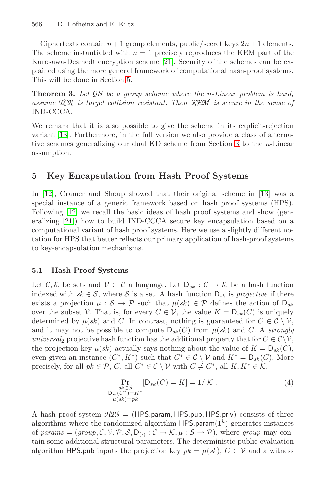<span id="page-13-0"></span>Ciphertexts contain  $n+1$  group elements, public/secret keys  $2n+1$  elements. The scheme instantiated with  $n = 1$  precisely reproduces the KEM part of the Kurosawa-Desmedt encryption scheme [21]. Security of the schemes can be explained using the more general framework [of](#page-8-0) computational hash-proof systems. This will be done in Section 5.

**Theorem 3.** Let GS be a group scheme where the n-Linear problem is hard, assume *TCR* is target collision resistant. Then *KEM* is secure in the sense of IND-CCCA.

We remark that it is also possible to give the s[chem](#page-18-1)e in its explicit-rejection variant [13]. Furthermore, in the full version we also provide a class of alternative schemes generalizing our dual KD scheme from Section 3 to the  $n$ -Linear assumption.

# **5 Key Encapsulation from Hash Proof Systems**

In [12], Cramer and Shoup showed that their original scheme in [13] was a special instance of a generic framework based on hash proof systems (HPS). Following [12] we recall the basic ideas of hash proof systems and show (generalizing [21]) how to build IND-CCCA secure key encapsulation based on a computational variant of hash proof systems. Here we use a slightly different notation for HPS that better reflects our primary application of hash-proof systems to key-encapsulation mechanisms.

#### **5.1 Hash Proof Systems**

Let  $\mathcal{C}, \mathcal{K}$  be sets and  $\mathcal{V} \subset \mathcal{C}$  a language. Let  $\mathsf{D}_{sk} : \mathcal{C} \to \mathcal{K}$  be a hash function indexed with  $sk \in \mathcal{S}$ , where  $\mathcal{S}$  is a set. A hash function  $D_{sk}$  is projective if there exists a projection  $\mu : \mathcal{S} \to \mathcal{P}$  such that  $\mu(sk) \in \mathcal{P}$  defines the action of  $\mathsf{D}_{sk}$ over the subset V. That is, for every  $C \in V$ , the value  $K = D_{sk}(C)$  is uniquely determined by  $\mu(sk)$  and C. In contrast, nothing is guaranteed for  $C \in \mathcal{C} \setminus \mathcal{V}$ , and it may not be possible to compute  $D_{sk}(C)$  from  $\mu(sk)$  and C. A strongly universal<sub>2</sub> projective hash function has the additional property that for  $C \in \mathcal{C} \backslash \mathcal{V}$ , the projection key  $\mu(sk)$  actually says nothing about the value of  $K = D_{sk}(C)$ , even given an instance  $(C^*, K^*)$  such that  $C^* \in \mathcal{C} \setminus \mathcal{V}$  and  $K^* = \mathsf{D}_{sk}(C)$ . More precisely, for all  $pk \in \mathcal{P}$ ,  $C$ , all  $C^* \in \mathcal{C} \setminus \mathcal{V}$  with  $C \neq C^*$ , all  $K, K^* \in \mathcal{K}$ ,

$$
\Pr_{\substack{sk \in \mathcal{S} \\ D_{sk}(C^*) = K^*}} [D_{sk}(C) = K] = 1/|\mathcal{K}|.
$$
\n(4)

A hash proof system  $HPS = (HPS.param, HPS.pub, HPS.priv)$  consists of three algorithms where the randomized algorithm  $HPS$ .param $(1<sup>k</sup>)$  generates instances of params =  $(group, C, V, P, S, D<sub>(.)</sub> : C \rightarrow K, \mu : S \rightarrow P)$ , where group may contain some additional structural parameters. The deterministic public evaluation algorithm HPS.pub inputs the projection key  $pk = \mu(sk)$ ,  $C \in V$  and a witness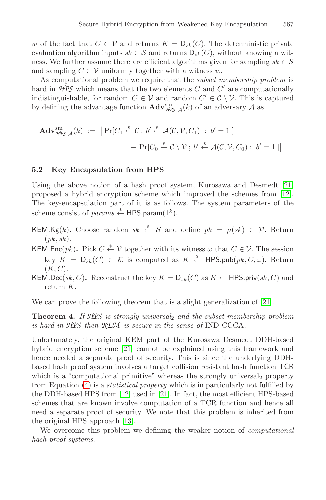w of the fact that  $C \in V$  and returns  $K = D_{sk}(C)$ . The deterministic private evaluation algorithm inputs  $sk \in \mathcal{S}$  and returns  $D_{sk}(C)$ , without knowing a witness. We further assume there are efficient algorithms given for sampling  $sk \in \mathcal{S}$ and sampling  $C \in V$  uniformly together with a witness w.

<span id="page-14-1"></span>As computational problem we require that the subset membership problem is hard in  $HPS$  which means that the two elements  $C$  and  $C'$  are computationally indistinguishable, for random  $C \in V$  and random  $C' \in \mathcal{C} \setminus \mathcal{V}$ . This is captured by defining the advantage function  $\mathbf{Adv}_{\mathcal{HBS},\mathcal{A}}^{\mathrm{sm}}(k)$  of an adversary  $\mathcal A$  as

$$
\mathbf{Adv}_{\mathcal{HPS},\mathcal{A}}^{\text{sm}}(k) := \left| \Pr[C_1 \stackrel{\text{s}}{\leftarrow} \mathcal{C} \, ; \, b' \stackrel{\text{s}}{\leftarrow} \mathcal{A}(\mathcal{C}, \mathcal{V}, C_1) \, : \, b' = 1 \, ] \right. \\ \left. - \Pr[C_0 \stackrel{\text{s}}{\leftarrow} \mathcal{C} \setminus \mathcal{V} \, ; \, b' \stackrel{\text{s}}{\leftarrow} \mathcal{A}(\mathcal{C}, \mathcal{V}, C_0) \, : \, b' = 1 \, ] \right. \right| .
$$

#### **5.2 Key Encapsulation from HPS**

Using the above notion of a hash proof system, Kurosawa and Desmedt [21] proposed a hybrid encryption scheme which improved the schemes from [12]. The key-encapsulation part of it is as follows. The system parameters of the scheme consist of  $params \overset{\hspace{0.1em}\mathsf{\scriptscriptstyle\$}}{\leftarrow} {\sf HPS.param}(1^k).$ 

- <span id="page-14-0"></span>KEM.Kg(k). Choose random  $sk \stackrel{s}{\leftarrow} S$  and define  $pk = \mu(sk) \in \mathcal{P}$  $pk = \mu(sk) \in \mathcal{P}$ . Return  $(pk, sk).$
- KEM.Enc(pk). Pick  $C \stackrel{\hspace{0.1em}\mathsf{\scriptscriptstyle\$}}{\leftarrow} \mathcal{V}$  together with its witness  $\omega$  that  $C \in \mathcal{V}$ . The session key  $K = D_{sk}(C) \in \mathcal{K}$  is computed as  $K \stackrel{\$}{\leftarrow} \textsf{HPS.pub}(pk, C, \omega)$ . Return  $(K,C).$
- KEM.Dec([sk](#page-18-6), C). Reconstruct the key  $K = D_{sk}(C)$  as  $K \leftarrow \text{HPS}$ .priv(sk, C) and return K.

We can prove the following theorem that is a slight generalization of [21].

**Theorem 4.** If  $HPS$  is strongly universal<sub>2</sub> and the subset membership problem is hard [in](#page-18-2) *HPS* then *[K](#page-18-6)EM* is secure in the sense of IND-CCCA.

Unfortunately, the original KEM part of the Kurosawa Desmedt DDH-based hybrid e[ncr](#page-18-1)yption scheme [21] cannot be explained using this framework and hence needed a separate proof of security. This is since the underlying DDHbased hash proof system involves a target collision resistant hash function TCR which is a "computational primitive" whereas the strongly universal<sub>2</sub> property from Equation (4) is a statistical property which is in particularly not fulfilled by the DDH-based HPS from [12] used in [21]. In fact, the most efficient HPS-based schemes that are known involve computation of a TCR function and hence all need a separate proof of security. We note that this problem is inherited from the original HPS approach [13].

We overcome this problem we defining the weaker notion of *computational* hash proof systems.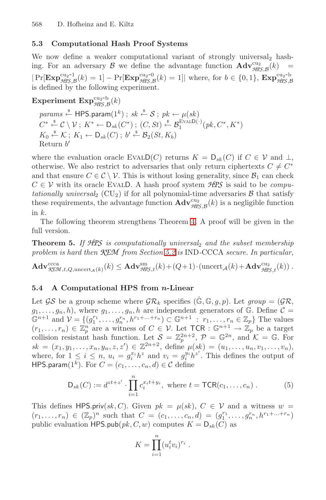# **5.3 Computational Hash Proof Systems**

We now define a weaker computational variant of strongly universal<sub>2</sub> hashing. For an adversary B we define the advantage function  $\mathbf{Adv}_{\mathcal{HPS},\mathcal{B}}^{\text{cu}_2}(k)$  =  $|\Pr[\mathbf{Exp}_{\text{HPS},\mathcal{B}}^{\text{cu}_2-1}(k) = 1] - \Pr[\mathbf{Exp}_{\text{HPS},\mathcal{B}}^{\text{cu}_2-0}(k) = 1]|$  where, for  $b \in \{0,1\}$ ,  $\mathbf{Exp}_{\text{HPS},\mathcal{B}}^{\text{cu}_2-0}$ is defined by the following experiment.

# $\textbf{Experiment Exp}_{\mathcal{HPS}, \mathcal{B}}^{\text{cu}_2-\text{b}}(k)$

 $params \stackrel{\hspace{0.1em}\mathsf{\scriptscriptstyle\$}}{\leftarrow} \mathsf{HPS}.\mathsf{param}(1^k)\ ;\ sk \stackrel{\hspace{0.1em}\mathsf{\scriptscriptstyle\$}}{\leftarrow} \mathcal{S}\ ;\ pk \leftarrow \mu(sk)$  $C^* \stackrel{\hspace{0.1em}\mathsf{\scriptscriptstyle\$}}{\leftarrow} \mathcal{C} \setminus \mathcal{V} \: ; \: K^* \leftarrow \mathsf{D}_{sk}(C^*) \: ; \: (C, St) \stackrel{\hspace{0.1em}\mathsf{\scriptscriptstyle\$}}{\leftarrow} \mathcal{B}_1^{\mathsf{EVALD}(\cdot)}(pk, C^*, K^*)$  $K_0 \stackrel{\$}{\leftarrow} \mathcal{K}$ ;  $K_1 \leftarrow \mathsf{D}_{sk}(C)$ ;  $b' \stackrel{\$}{\leftarrow} \mathcal{B}_2(St, K_b)$ Return b

<span id="page-15-0"></span>where the evaluation oracle EVALD(C) returns  $K = D_{sk}(C)$  if  $C \in V$  and  $\perp$ , otherwise. We also restrict to adversaries that only return ciphertexts  $C \neq C^*$ and that ensure  $C \in \mathcal{C} \setminus \mathcal{V}$ . This is without losing generality, since  $\mathcal{B}_1$  can check  $C \in V$  with its oracle EVALD. A hash proof system  $HPS$  is said to be *compu*tationally universal<sub>2</sub> (CU<sub>2</sub>) if for all polynomial-time adversaries  $\beta$  that satisfy these requirements, the advantage function  $\mathbf{Adv}_{\mathcal{H}PS,\mathcal{B}}^{\text{cu}_2}(k)$  is a negligible function in k.

The following theorem strengthens Theorem 4. A proof will be given in the full version.

**Theorem 5.** If  $HPS$  is computationally universal<sub>2</sub> and the subset membership problem is hard then *KEM* from Section 5.2 is IND-CCCA secure. In particular,

 $\mathbf{Adv}_{\mathcal{A}\mathcal{B}\mathcal{M},t,Q,\text{uncert}_{\mathcal{A}}(k)}^{\text{ccca}}(k) \leq \mathbf{Adv}_{\mathcal{A}\mathcal{B}\mathcal{S},t}^{\text{sm}}(k) + (Q+1) \cdot (\text{uncert}_{\mathcal{A}}(k) + \mathbf{Adv}_{\mathcal{A}\mathcal{B}\mathcal{S},t}^{\text{cu}_2}(k))$ .

# **5.4 A Computational HPS from** *n***-Linear**

Let GS be a group scheme where  $\mathcal{GR}_k$  specifies  $(\hat{\mathbb{G}}, \mathbb{G}, g, p)$ . Let group =  $(\mathcal{GR}, g, p)$  $g_1,\ldots,g_n, h$ , where  $g_1,\ldots,g_n, h$  are independent generators of G. Define  $\mathcal{C} =$  $\mathbb{G}^{n+1}$  and  $\mathcal{V} = \{(g_1^{r_1}, \ldots, g_n^{r_n}, h^{r_1 + \ldots + r_n}) \subset \mathbb{G}^{n+1} : r_1, \ldots, r_n \in \mathbb{Z}_p\}$  The values  $(r_1,\ldots,r_n)\in\mathbb{Z}_p^n$  are a witness of  $C\in\mathcal{V}$ . Let TCR :  $\mathbb{G}^{n+1}\to\mathbb{Z}_p$  be a target collision resistant hash function. Let  $S = \mathbb{Z}_p^{2n+2}$ ,  $\mathcal{P} = \mathbb{G}^{2n}$ , and  $\mathcal{K} = \mathbb{G}$ . For  $sk = (x_1, y_1, \ldots, x_n, y_n, z, z') \in \mathbb{Z}^{2n+2}$ , define  $\mu(sk) = (u_1, \ldots, u_n, v_1, \ldots, v_n)$ , where, for  $1 \leq i \leq n$ ,  $u_i = g_i^{x_i} h^z$  and  $v_i = g_i^{y_i} h^{z'}$ . This defines the output of HPS.param(1<sup>k</sup>). For  $C = (c_1, \ldots, c_n, d) \in \mathcal{C}$  define

$$
\mathsf{D}_{sk}(C) := d^{zt+z'} \cdot \prod_{i=1}^{n} c_i^{x_i t + y_i}, \text{ where } t = \mathsf{TCR}(c_1, \dots, c_n).
$$
 (5)

This defines HPS.priv(sk, C). Given  $pk = \mu(sk)$ ,  $C \in V$  and a witness  $w =$  $(r_1, \ldots, r_n) \in (\mathbb{Z}_p)^n$  such that  $C = (c_1, \ldots, c_n, d) = (g_1^{r_1}, \ldots, g_n^{r_n}, h^{r_1 + \ldots + r_n})$ public evaluation HPS.pub $(pk, C, w)$  computes  $K = D_{sk}(C)$  as

$$
K = \prod_{i=1}^n (u_i^t v_i)^{r_i} .
$$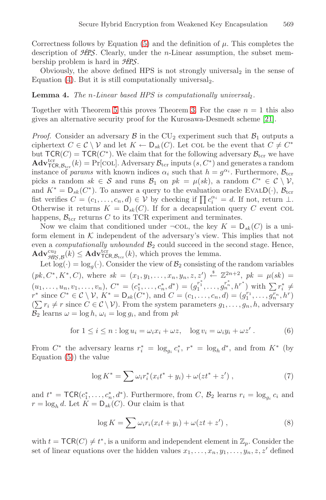Corre[ct](#page-15-0)ness follows by Equa[tio](#page-13-0)n  $(5)$  and the definition of  $\mu$ . This completes the description of *HPS*. Clearly, under the *n*-Linear a[ssum](#page-18-6)ption, the subset membership problem is hard in *HPS*.

Obviously, the above defined HPS is not strongly universal $_2$  in the sense of Equation  $(4)$ . But it is still computationally universal<sub>2</sub>.

# **Lemma 4.** The n-Linear based HPS is computationally universal<sub>2</sub>.

Together with Theorem 5 this proves Theorem 3. For the case  $n = 1$  this also gives an alternative security proof for the Kurosawa-Desmedt scheme [21].

*Proof.* Consider an adversary  $\beta$  in the CU<sub>2</sub> experiment such that  $\beta_1$  outputs a ciphertext  $C \in \mathcal{C} \setminus \mathcal{V}$  and let  $K \leftarrow \mathsf{D}_{sk}(C)$ . Let  $\text{col}$  be the event that  $C \neq C^*$ but  $TCR(C) = TCR(C^*)$ . We claim that for the following adversary  $\mathcal{B}_{\text{tor}}$  we have  $\mathbf{Adv}_{\mathsf{TCR},\mathcal{B}_{\text{ter}}^{t}}^{tcr}(k) = \Pr[\text{COL}]$ . Adversary  $\mathcal{B}_{\text{ter}}$  inputs  $(s, C^*)$  and generates a random instance of params with known indices  $\alpha_i$  such that  $h = g^{\alpha_i}$ . Furthermore,  $\mathcal{B}_{\text{tor}}$ picks a random  $sk \in S$  and runs  $\mathcal{B}_1$  on  $pk = \mu(sk)$ , a random  $C^* \in C \setminus V$ , and  $K^* = D_{sk}(C^*)$ . To answer a query to the evaluation oracle EVALD( $\cdot$ ),  $\mathcal{B}_{\text{tor}}$ fist verifies  $C = (c_1, \ldots, c_n, d) \in V$  by checking if  $\prod c_i^{\alpha_i} = d$ . If not, return  $\perp$ . Otherwise it returns  $K = D_{sk}(C)$ . If for a decapsulation query C event COL happens,  $\mathcal{B}_{\text{tor}}$  returns C to its TCR experiment and terminates.

Now we claim that conditioned under  $\neg \text{COL}$ , the key  $K = D_{sk}(C)$  is a uniform element in  $K$  independent of the adversary's view. This implies that not even a *computationally unbounded*  $\mathcal{B}_2$  could succeed in the second stage. Hence,  $\mathbf{Adv}_{\mathcal{H}PS,\mathcal{B}}^{\text{cu}_2}(k) \leq \mathbf{Adv}_{\mathsf{TCR},\mathcal{B}_{\text{ter}}}(k)$ , which proves the lemma.

<span id="page-16-1"></span>Let  $\log(\cdot) = \log_a(\cdot)$ . Consider the view of  $\mathcal{B}_2$  consisting of the random variables  $(pk, C^*, K^*, C)$ , where  $sk = (x_1, y_1, \ldots, x_n, y_n, z, z') \stackrel{\hspace{0.1em}\mathsf{\scriptscriptstyle\$}}{\leftarrow} \mathbb{Z}^{2n+2}$ ,  $pk = \mu(sk)$  $(u_1,\ldots,u_n,v_1,\ldots,v_n),\ C^*=(c_1^*,\ldots,c_n^*,d^*)=(g_1^{r_1^*},\ldots,g_n^{r_n^*},h^{r^*})$  with  $\sum r_i^*\neq$ r<sup>∗</sup> since  $C^* \in \mathcal{C} \setminus \mathcal{V}, K^* = D_{sk}(\tilde{C}^*)$ , and  $C = (c_1, \ldots, c_n, d) = (g_1^{r_1}, \ldots, \overline{g_n^{r_n}}, h^r)$  $(\sum r_i \neq r \text{ since } C \in \mathcal{C} \setminus \mathcal{V})$ . From the system parameters  $g_1, \ldots, g_n, h$ , adversary  $\mathcal{B}_2$  learns  $\omega = \log h$ ,  $\omega_i = \log g_i$ , and from pk

<span id="page-16-0"></span>for 
$$
1 \leq i \leq n : \log u_i = \omega_i x_i + \omega z
$$
,  $\log v_i = \omega_i y_i + \omega z'$ . (6)

From  $C^*$  the adversary learns  $r_i^* = \log_{g_i} c_i^*$ ,  $r^* = \log_h d^*$ , and from  $K^*$  (by Equation (5)) the value

$$
\log K^* = \sum \omega_i r_i^* (x_i t^* + y_i) + \omega(zt^* + z'), \qquad (7)
$$

and  $t^* = \textsf{TCR}(c_1^*, \ldots, c_n^*, d^*)$ . Furthermore, from C,  $\mathcal{B}_2$  learns  $r_i = \log_{g_i} c_i$  and  $r = \log_h d$ . Let  $K = D_{sk}(C)$ . Our claim is that

$$
\log K = \sum \omega_i r_i (x_i t + y_i) + \omega(zt + z'), \qquad (8)
$$

with  $t = \mathsf{TCR}(C) \neq t^*$ , is a uniform and independent element in  $\mathbb{Z}_p$ . Consider the set of linear equations over the hidden values  $x_1, \ldots, x_n, y_1, \ldots, y_n, z, z'$  defined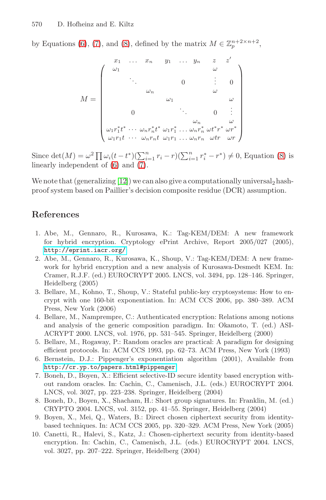by Equations (6), (7), and (8), defined by the matrix  $M \in \mathbb{Z}_p^{n+2 \times n+2}$ ,

$$
M = \begin{pmatrix} x_1 & \dots & x_n & y_1 & \dots & y_n & z & z' \\ & \omega_1 & & & & \omega & \\ & \ddots & & & 0 & & \vdots & 0 \\ & & \omega_n & & & \omega & \\ & & & \omega_1 & & & \omega \\ & & & & & \ddots & & 0 \\ & & & & & & & \omega \\ & & & & & & & \omega_n \\ & & & & & & & \omega_n \\ & & & & & & & \omega_n \\ \omega_1 r_1 t^* & \dots & \omega_n r_n^* t^* \omega_1 r_1^* \dots & \omega_n r_n^* \omega t^* r^* \omega r^* \\ \omega_1 r_1 t^* & \dots & \omega_n r_n t \omega_1 r_1 \dots \omega_n r_n \omega t r \omega r \end{pmatrix}
$$

Since  $\det(M) = \omega^2 \prod \omega_i (t - t^*)(\sum_{i=1}^n r_i - r)(\sum_{i=1}^n r_i^* - r^*) \neq 0$ , Equation (8) is linearly independent of (6) and (7).

<span id="page-17-1"></span>We note that (generalizing [12]) we can also give a computationally universal<sub>2</sub> hashproof system based on Paillier's decision composite residue (DCR) assumption.

# <span id="page-17-4"></span><span id="page-17-2"></span>**References**

- 1. Abe, M., Gennaro, R., Kurosawa, K.: Tag-KEM/DEM: A new framework for hybrid encryption. Cryptology ePrint Archive, Report 2005/027 (2005), http://eprint.iacr.org/
- 2. Abe, M., Gennaro, R., Kurosawa, K., Shoup, V.: Tag-KEM/DEM: A new framework for hybrid encryption and a new analysis of Kurosawa-Desmedt KEM. In: Cramer, R.J.F. (ed.) EUROCRYPT 2005. LNCS, vol. 3494, pp. 128–146. Springer, Heidelberg (2005)
- <span id="page-17-3"></span>3. Bellare, M., Kohno, T., Shoup, V.: Stateful public-key cryptosystems: How to en[crypt with one 160-bit](http://cr.yp.to/papers.html#pippenger) exponentiation. In: ACM CCS 2006, pp. 380–389. ACM Press, New York (2006)
- <span id="page-17-0"></span>4. Bellare, M., Namprempre, C.: Authenticated encryption: Relations among notions and analysis of the generic composition paradigm. In: Okamoto, T. (ed.) ASI-ACRYPT 2000. LNCS, vol. 1976, pp. 531–545. Springer, Heidelberg (2000)
- <span id="page-17-5"></span>5. Bellare, M., Rogaway, P.: Random oracles are practical: A paradigm for designing efficient protocols. In: ACM CCS 1993, pp. 62–73. ACM Press, New York (1993)
- 6. Bernstein, D.J.: Pippenger's exponentiation algorithm (2001), Available from http://cr.yp.to/papers.html#pippenger
- 7. Boneh, D., Boyen, X.: Efficient selective-ID secure identity based encryption without random oracles. In: Cachin, C., Camenisch, J.L. (eds.) EUROCRYPT 2004. LNCS, vol. 3027, pp. 223–238. Springer, Heidelberg (2004)
- 8. Boneh, D., Boyen, X., Shacham, H.: Short group signatures. In: Franklin, M. (ed.) CRYPTO 2004. LNCS, vol. 3152, pp. 41–55. Springer, Heidelberg (2004)
- 9. Boyen, X., Mei, Q., Waters, B.: Direct chosen ciphertext security from identitybased techniques. In: ACM CCS 2005, pp. 320–329. ACM Press, New York (2005)
- 10. Canetti, R., Halevi, S., Katz, J.: Chosen-ciphertext security from identity-based encryption. In: Cachin, C., Camenisch, J.L. (eds.) EUROCRYPT 2004. LNCS, vol. 3027, pp. 207–222. Springer, Heidelberg (2004)